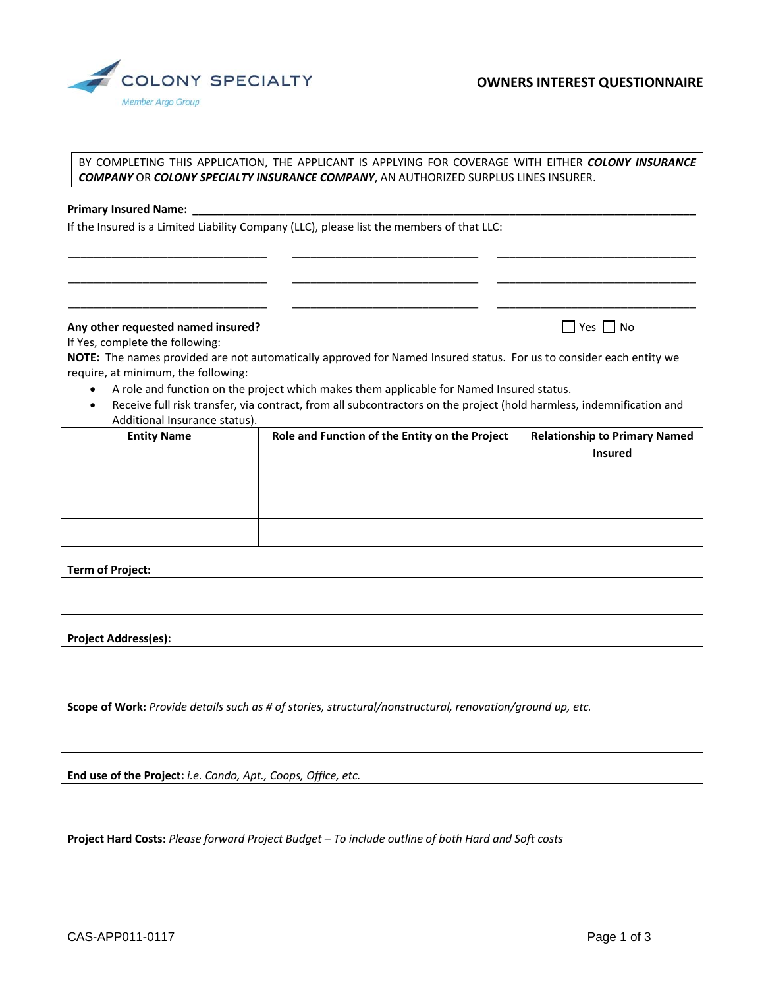

## BY COMPLETING THIS APPLICATION, THE APPLICANT IS APPLYING FOR COVERAGE WITH EITHER *COLONY INSURANCE COMPANY* OR *COLONY SPECIALTY INSURANCE COMPANY*, AN AUTHORIZED SURPLUS LINES INSURER.

\_\_\_\_\_\_\_\_\_\_\_\_\_\_\_\_\_\_\_\_\_\_\_\_\_\_\_\_\_\_\_\_ \_\_\_\_\_\_\_\_\_\_\_\_\_\_\_\_\_\_\_\_\_\_\_\_\_\_\_\_\_\_ \_\_\_\_\_\_\_\_\_\_\_\_\_\_\_\_\_\_\_\_\_\_\_\_\_\_\_\_\_\_\_\_

\_\_\_\_\_\_\_\_\_\_\_\_\_\_\_\_\_\_\_\_\_\_\_\_\_\_\_\_\_\_\_\_ \_\_\_\_\_\_\_\_\_\_\_\_\_\_\_\_\_\_\_\_\_\_\_\_\_\_\_\_\_\_ \_\_\_\_\_\_\_\_\_\_\_\_\_\_\_\_\_\_\_\_\_\_\_\_\_\_\_\_\_\_\_\_

\_\_\_\_\_\_\_\_\_\_\_\_\_\_\_\_\_\_\_\_\_\_\_\_\_\_\_\_\_\_\_\_ \_\_\_\_\_\_\_\_\_\_\_\_\_\_\_\_\_\_\_\_\_\_\_\_\_\_\_\_\_\_ \_\_\_\_\_\_\_\_\_\_\_\_\_\_\_\_\_\_\_\_\_\_\_\_\_\_\_\_\_\_\_\_

## **Primary Insured Name:**

If the Insured is a Limited Liability Company (LLC), please list the members of that LLC:

# **Any other requested named insured?** Any other **requested named insured?** Any other **named insured**?

If Yes, complete the following:

**NOTE:** The names provided are not automatically approved for Named Insured status. For us to consider each entity we require, at minimum, the following:

- A role and function on the project which makes them applicable for Named Insured status.
- Receive full risk transfer, via contract, from all subcontractors on the project (hold harmless, indemnification and Additional Insurance status).

| <b>Entity Name</b> | Role and Function of the Entity on the Project | <b>Relationship to Primary Named</b> |
|--------------------|------------------------------------------------|--------------------------------------|
|                    |                                                | <b>Insured</b>                       |
|                    |                                                |                                      |
|                    |                                                |                                      |
|                    |                                                |                                      |
|                    |                                                |                                      |
|                    |                                                |                                      |

## **Term of Project:**

**Project Address(es):**

**Scope of Work:** *Provide details such as # of stories, structural/nonstructural, renovation/ground up, etc.*

**End use of the Project:** *i.e. Condo, Apt., Coops, Office, etc.*

**Project Hard Costs:** *Please forward Project Budget – To include outline of both Hard and Soft costs*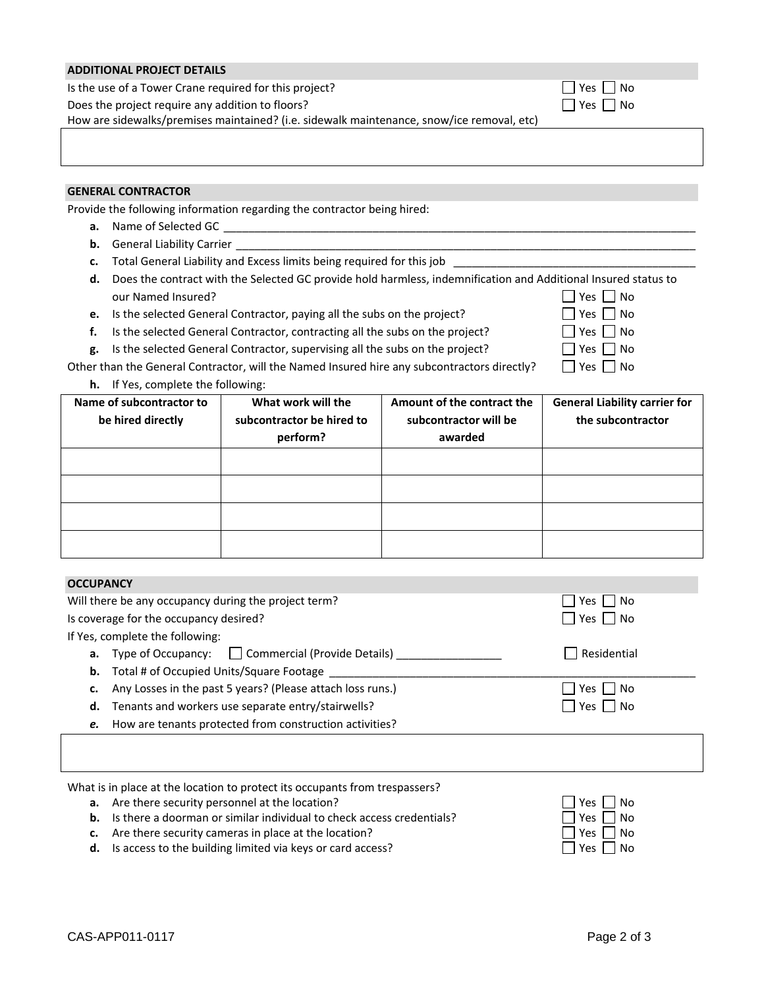| <b>ADDITIONAL PROJECT DETAILS</b>                                                         |                                         |
|-------------------------------------------------------------------------------------------|-----------------------------------------|
| Is the use of a Tower Crane required for this project?                                    | Yes  No                                 |
| Does the project require any addition to floors?                                          | $\overline{\phantom{a}}$ No<br>l lYes l |
| How are sidewalks/premises maintained? (i.e. sidewalk maintenance, snow/ice removal, etc) |                                         |
|                                                                                           |                                         |
|                                                                                           |                                         |

# **GENERAL CONTRACTOR**

Provide the following information regarding the contractor being hired:

- **a.** Name of Selected GC
- **b.** General Liability Carrier
- **c.** Total General Liability and Excess limits being required for this job
- **d.** Does the contract with the Selected GC provide hold harmless, indemnification and Additional Insured status to our Named Insured?<br>  $\Box$  Yes  $\Box$  No<br>  $\Box$  Yes  $\Box$  No
- **e.** Is the selected General Contractor, paying all the subs on the project?
- **f.** Is the selected General Contractor, contracting all the subs on the project?  $\Box$  Yes  $\Box$  No
- **g.** Is the selected General Contractor, supervising all the subs on the project?  $\Box$  Yes  $\Box$  No

| IIYESI II           |
|---------------------|
| │ │ Yes │ │ M       |
| $\Box$ Yes $\Box$ N |
| ┌┐., . ┌┐.          |

Other than the General Contractor, will the Named Insured hire any subcontractors directly?  $\Box$  Yes  $\Box$  No

**h.** If Yes, complete the following:

| Name of subcontractor to<br>be hired directly | What work will the<br>subcontractor be hired to<br>perform? | Amount of the contract the<br>subcontractor will be<br>awarded | <b>General Liability carrier for</b><br>the subcontractor |
|-----------------------------------------------|-------------------------------------------------------------|----------------------------------------------------------------|-----------------------------------------------------------|
|                                               |                                                             |                                                                |                                                           |
|                                               |                                                             |                                                                |                                                           |
|                                               |                                                             |                                                                |                                                           |
|                                               |                                                             |                                                                |                                                           |

| <b>OCCUPANCY</b>                                                 |                      |  |
|------------------------------------------------------------------|----------------------|--|
| Will there be any occupancy during the project term?             | l No<br>Yes          |  |
| Is coverage for the occupancy desired?                           | $\Box$ Yes $\Box$ No |  |
| If Yes, complete the following:                                  |                      |  |
| <b>a.</b> Type of Occupancy: $\Box$ Commercial (Provide Details) | Residential          |  |
| <b>b.</b> Total # of Occupied Units/Square Footage               |                      |  |
| Any Losses in the past 5 years? (Please attach loss runs.)       | l No<br>Yes I        |  |
| d. Tenants and workers use separate entry/stairwells?            | Yes l<br>l No        |  |
| e. How are tenants protected from construction activities?       |                      |  |
|                                                                  |                      |  |

**a.** Are there security personnel at the location?

| <b>b.</b> Is there a doorman or similar individual to check access credentials? | $\Box$ Yes $\Box$ No |
|---------------------------------------------------------------------------------|----------------------|
|                                                                                 |                      |

- **c.** Are there security cameras in place at the location?
- **d.** Is access to the building limited via keys or card access?

| Yes | No |
|-----|----|
| Yes | No |
| Yes | No |
| 'es | Ó  |